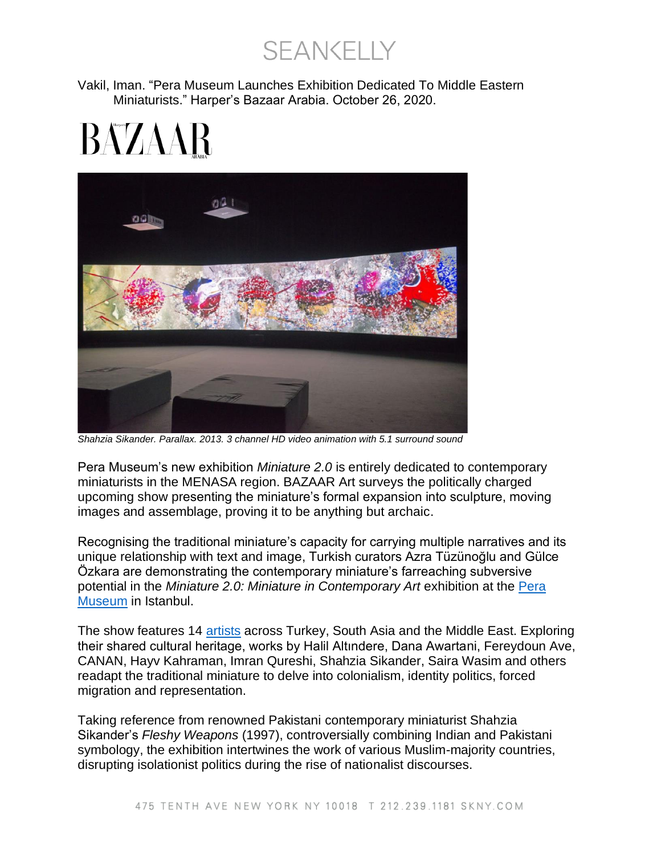**SEANKELLY** 

Vakil, Iman. "Pera Museum Launches Exhibition Dedicated To Middle Eastern Miniaturists." Harper's Bazaar Arabia. October 26, 2020.

## BAZAAR



*Shahzia Sikander. Parallax. 2013. 3 channel HD video animation with 5.1 surround sound*

Pera Museum's new exhibition *Miniature 2.0* is entirely dedicated to contemporary miniaturists in the MENASA region. BAZAAR Art surveys the politically charged upcoming show presenting the miniature's formal expansion into sculpture, moving images and assemblage, proving it to be anything but archaic.

Recognising the traditional miniature's capacity for carrying multiple narratives and its unique relationship with text and image, Turkish curators Azra Tüzünoğlu and Gülce Özkara are demonstrating the contemporary miniature's farreaching subversive potential in the *Miniature 2.0: Miniature in Contemporary Art* exhibition at the [Pera](https://www.peramuseum.org/)  [Museum](https://www.peramuseum.org/) in Istanbul.

The show features 14 [artists](https://www.harpersbazaararabia.com/culture/art/emirati-artist-mohammed-kazem-newest-exhibition-on-show-now) across Turkey, South Asia and the Middle East. Exploring their shared cultural heritage, works by Halil Altındere, Dana Awartani, Fereydoun Ave, CANAN, Hayv Kahraman, Imran Qureshi, Shahzia Sikander, Saira Wasim and others readapt the traditional miniature to delve into colonialism, identity politics, forced migration and representation.

Taking reference from renowned Pakistani contemporary miniaturist Shahzia Sikander's *Fleshy Weapons* (1997), controversially combining Indian and Pakistani symbology, the exhibition intertwines the work of various Muslim-majority countries, disrupting isolationist politics during the rise of nationalist discourses.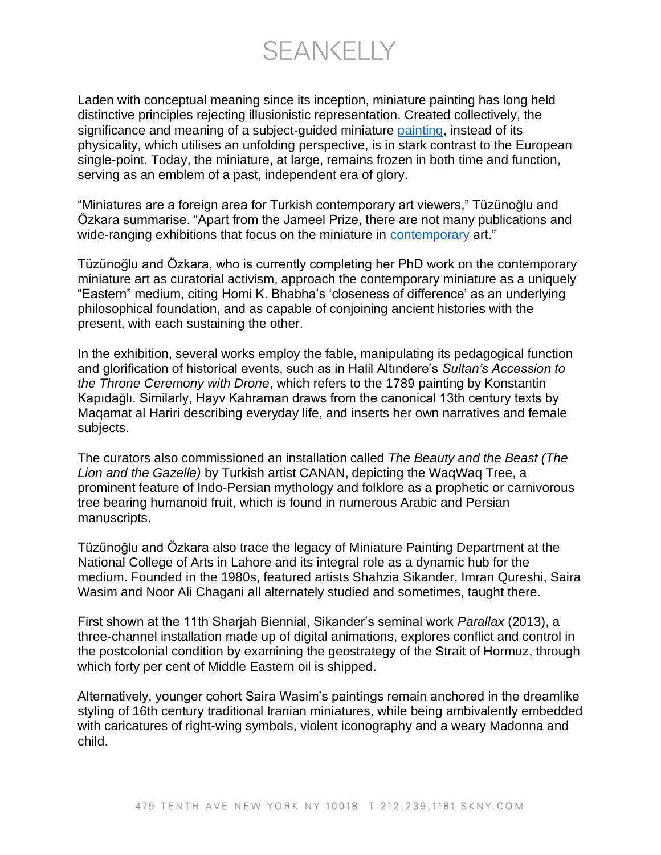**SEANKELLY** 

Laden with conceptual meaning since its inception, miniature painting has long held distinctive principles rejecting illusionistic representation. Created collectively, the significance and meaning of a subject-guided miniature [painting,](https://www.harpersbazaararabia.com/culture/art/heres-how-you-can-contribute-to-the-worlds-largest-painting) instead of its physicality, which utilises an unfolding perspective, is in stark contrast to the European single-point. Today, the miniature, at large, remains frozen in both time and function, serving as an emblem of a past, independent era of glory.

"Miniatures are a foreign area for Turkish contemporary art viewers," Tüzünoğlu and Özkara summarise. "Apart from the Jameel Prize, there are not many publications and wide-ranging exhibitions that focus on the miniature in [contemporary](https://www.harpersbazaararabia.com/culture/art/oblong-gallery-dubai) art."

Tüzünoğlu and Özkara, who is currently completing her PhD work on the contemporary miniature art as curatorial activism, approach the contemporary miniature as a uniquely "Eastern" medium, citing Homi K. Bhabha's 'closeness of difference' as an underlying philosophical foundation, and as capable of conjoining ancient histories with the present, with each sustaining the other.

In the exhibition, several works employ the fable, manipulating its pedagogical function and glorification of historical events, such as in Halil Altındere's *Sultan's Accession to the Throne Ceremony with Drone*, which refers to the 1789 painting by Konstantin Kapıdağlı. Similarly, Hayv Kahraman draws from the canonical 13th century texts by Maqamat al Hariri describing everyday life, and inserts her own narratives and female subjects.

The curators also commissioned an installation called *The Beauty and the Beast (The Lion and the Gazelle)* by Turkish artist CANAN, depicting the WaqWaq Tree, a prominent feature of Indo-Persian mythology and folklore as a prophetic or carnivorous tree bearing humanoid fruit, which is found in numerous Arabic and Persian manuscripts.

Tüzünoğlu and Özkara also trace the legacy of Miniature Painting Department at the National College of Arts in Lahore and its integral role as a dynamic hub for the medium. Founded in the 1980s, featured artists Shahzia Sikander, Imran Qureshi, Saira Wasim and Noor Ali Chagani all alternately studied and sometimes, taught there.

First shown at the 11th Sharjah Biennial, Sikander's seminal work *Parallax* (2013), a three-channel installation made up of digital animations, explores conflict and control in the postcolonial condition by examining the geostrategy of the Strait of Hormuz, through which forty per cent of Middle Eastern oil is shipped.

Alternatively, younger cohort Saira Wasim's paintings remain anchored in the dreamlike styling of 16th century traditional Iranian miniatures, while being ambivalently embedded with caricatures of right-wing symbols, violent iconography and a weary Madonna and child.